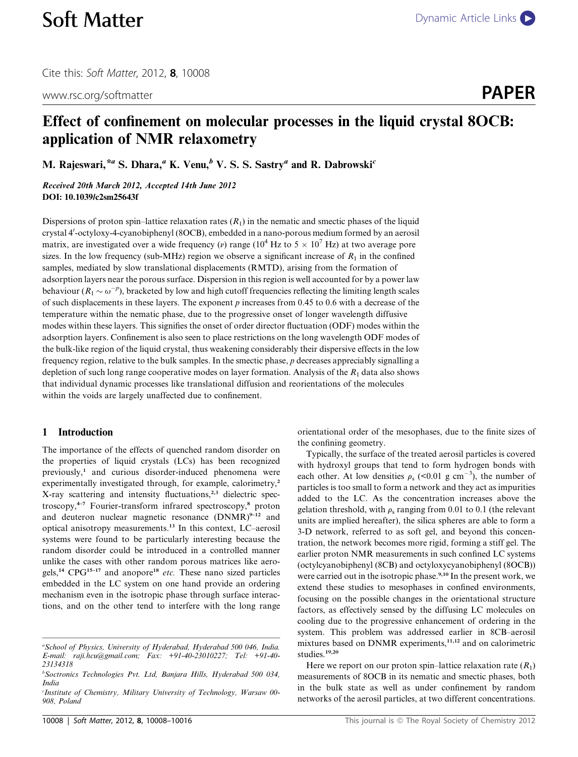www.rsc.org/softmatter **PAPER** 

# Effect of confinement on molecular processes in the liquid crystal 8OCB: application of NMR relaxometry

M. Rajeswari,<sup>\*a</sup> S. Dhara,<sup>a</sup> K. Venu,<sup>b</sup> V. S. S. Sastry<sup>a</sup> and R. Dabrowski<sup>c</sup>

Received 20th March 2012, Accepted 14th June 2012 DOI: 10.1039/c2sm25643f

Dispersions of proton spin–lattice relaxation rates  $(R_1)$  in the nematic and smectic phases of the liquid crystal 4'-octyloxy-4-cyanobiphenyl (8OCB), embedded in a nano-porous medium formed by an aerosil matrix, are investigated over a wide frequency (v) range ( $10^4$  Hz to  $5 \times 10^7$  Hz) at two average pore sizes. In the low frequency (sub-MHz) region we observe a significant increase of  $R_1$  in the confined samples, mediated by slow translational displacements (RMTD), arising from the formation of adsorption layers near the porous surface. Dispersion in this region is well accounted for by a power law behaviour ( $R_1 \sim \omega^{-p}$ ), bracketed by low and high cutoff frequencies reflecting the limiting length scales of such displacements in these layers. The exponent  $p$  increases from 0.45 to 0.6 with a decrease of the temperature within the nematic phase, due to the progressive onset of longer wavelength diffusive modes within these layers. This signifies the onset of order director fluctuation (ODF) modes within the adsorption layers. Confinement is also seen to place restrictions on the long wavelength ODF modes of the bulk-like region of the liquid crystal, thus weakening considerably their dispersive effects in the low frequency region, relative to the bulk samples. In the smectic phase, p decreases appreciably signalling a depletion of such long range cooperative modes on layer formation. Analysis of the  $R_1$  data also shows that individual dynamic processes like translational diffusion and reorientations of the molecules within the voids are largely unaffected due to confinement.

# 1 Introduction

The importance of the effects of quenched random disorder on the properties of liquid crystals (LCs) has been recognized previously,<sup>1</sup> and curious disorder-induced phenomena were experimentally investigated through, for example, calorimetry,<sup>2</sup> X-ray scattering and intensity fluctuations,<sup>2,3</sup> dielectric spectroscopy,4–7 Fourier-transform infrared spectroscopy,<sup>8</sup> proton and deuteron nuclear magnetic resonance  $(DNMR)^{9-12}$  and optical anisotropy measurements.<sup>13</sup> In this context, LC–aerosil systems were found to be particularly interesting because the random disorder could be introduced in a controlled manner unlike the cases with other random porous matrices like aerogels,<sup>14</sup> CPG<sup>15-17</sup> and anopore<sup>18</sup> etc. These nano sized particles embedded in the LC system on one hand provide an ordering mechanism even in the isotropic phase through surface interactions, and on the other tend to interfere with the long range

orientational order of the mesophases, due to the finite sizes of the confining geometry.

Typically, the surface of the treated aerosil particles is covered with hydroxyl groups that tend to form hydrogen bonds with each other. At low densities  $\rho_s$  (<0.01 g cm<sup>-3</sup>), the number of particles is too small to form a network and they act as impurities added to the LC. As the concentration increases above the gelation threshold, with  $\rho_s$  ranging from 0.01 to 0.1 (the relevant units are implied hereafter), the silica spheres are able to form a 3-D network, referred to as soft gel, and beyond this concentration, the network becomes more rigid, forming a stiff gel. The earlier proton NMR measurements in such confined LC systems (octylcyanobiphenyl (8CB) and octyloxycyanobiphenyl (8OCB)) were carried out in the isotropic phase.<sup>9,10</sup> In the present work, we extend these studies to mesophases in confined environments, focusing on the possible changes in the orientational structure factors, as effectively sensed by the diffusing LC molecules on cooling due to the progressive enhancement of ordering in the system. This problem was addressed earlier in 8CB–aerosil mixtures based on DNMR experiments,<sup>11,12</sup> and on calorimetric studies.<sup>19,20</sup>

Here we report on our proton spin–lattice relaxation rate  $(R_1)$ measurements of 8OCB in its nematic and smectic phases, both in the bulk state as well as under confinement by random networks of the aerosil particles, at two different concentrations.

a School of Physics, University of Hyderabad, Hyderabad 500 046, India. E-mail: raji.hcu@gmail.com; Fax: +91-40-23010227; Tel: +91-40- 23134318

b Soctronics Technologies Pvt. Ltd, Banjara Hills, Hyderabad 500 034, India

c Institute of Chemistry, Military University of Technology, Warsaw 00- 908, Poland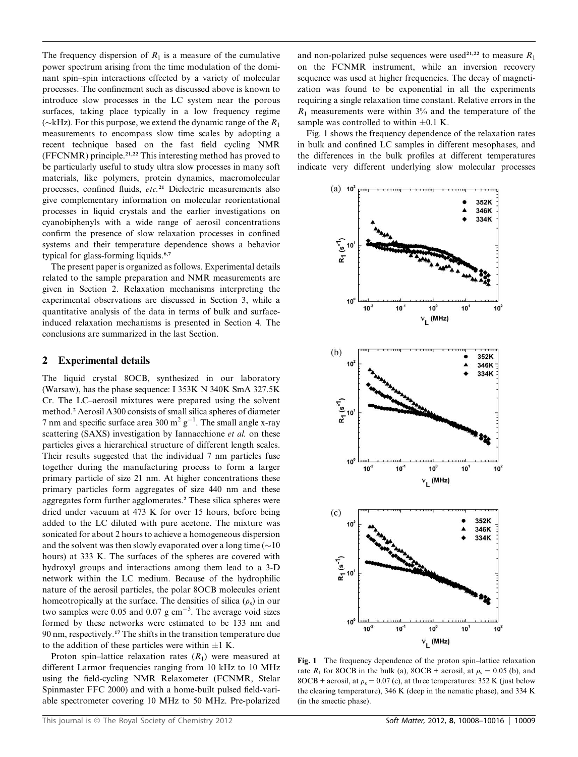The frequency dispersion of  $R_1$  is a measure of the cumulative power spectrum arising from the time modulation of the dominant spin–spin interactions effected by a variety of molecular processes. The confinement such as discussed above is known to introduce slow processes in the LC system near the porous surfaces, taking place typically in a low frequency regime ( $\sim$ kHz). For this purpose, we extend the dynamic range of the  $R_1$ measurements to encompass slow time scales by adopting a recent technique based on the fast field cycling NMR (FFCNMR) principle.21,22 This interesting method has proved to be particularly useful to study ultra slow processes in many soft materials, like polymers, protein dynamics, macromolecular processes, confined fluids, etc.<sup>21</sup> Dielectric measurements also give complementary information on molecular reorientational processes in liquid crystals and the earlier investigations on cyanobiphenyls with a wide range of aerosil concentrations confirm the presence of slow relaxation processes in confined systems and their temperature dependence shows a behavior typical for glass-forming liquids.<sup>6,7</sup>

The present paper is organized as follows. Experimental details related to the sample preparation and NMR measurements are given in Section 2. Relaxation mechanisms interpreting the experimental observations are discussed in Section 3, while a quantitative analysis of the data in terms of bulk and surfaceinduced relaxation mechanisms is presented in Section 4. The conclusions are summarized in the last Section.

# 2 Experimental details

The liquid crystal 8OCB, synthesized in our laboratory (Warsaw), has the phase sequence: I 353K N 340K SmA 327.5K Cr. The LC–aerosil mixtures were prepared using the solvent method.<sup>2</sup> Aerosil A300 consists of small silica spheres of diameter 7 nm and specific surface area 300 m<sup>2</sup>  $g^{-1}$ . The small angle x-ray scattering (SAXS) investigation by Iannacchione et al. on these particles gives a hierarchical structure of different length scales. Their results suggested that the individual 7 nm particles fuse together during the manufacturing process to form a larger primary particle of size 21 nm. At higher concentrations these primary particles form aggregates of size 440 nm and these aggregates form further agglomerates.<sup>2</sup> These silica spheres were dried under vacuum at 473 K for over 15 hours, before being added to the LC diluted with pure acetone. The mixture was sonicated for about 2 hours to achieve a homogeneous dispersion and the solvent was then slowly evaporated over a long time  $(\sim 10$ hours) at 333 K. The surfaces of the spheres are covered with hydroxyl groups and interactions among them lead to a 3-D network within the LC medium. Because of the hydrophilic nature of the aerosil particles, the polar 8OCB molecules orient homeotropically at the surface. The densities of silica  $(\rho_s)$  in our two samples were 0.05 and 0.07  $g \text{ cm}^{-3}$ . The average void sizes formed by these networks were estimated to be 133 nm and 90 nm, respectively.<sup>17</sup> The shifts in the transition temperature due to the addition of these particles were within  $\pm 1$  K.

Proton spin–lattice relaxation rates  $(R_1)$  were measured at different Larmor frequencies ranging from 10 kHz to 10 MHz using the field-cycling NMR Relaxometer (FCNMR, Stelar Spinmaster FFC 2000) and with a home-built pulsed field-variable spectrometer covering 10 MHz to 50 MHz. Pre-polarized

and non-polarized pulse sequences were used<sup>21,22</sup> to measure  $R_1$ on the FCNMR instrument, while an inversion recovery sequence was used at higher frequencies. The decay of magnetization was found to be exponential in all the experiments requiring a single relaxation time constant. Relative errors in the  $R_1$  measurements were within 3% and the temperature of the sample was controlled to within  $\pm 0.1$  K.

Fig. 1 shows the frequency dependence of the relaxation rates in bulk and confined LC samples in different mesophases, and the differences in the bulk profiles at different temperatures indicate very different underlying slow molecular processes



Fig. 1 The frequency dependence of the proton spin–lattice relaxation rate  $R_1$  for 8OCB in the bulk (a), 8OCB + aerosil, at  $\rho_s = 0.05$  (b), and 8OCB + aerosil, at  $\rho_s = 0.07$  (c), at three temperatures: 352 K (just below the clearing temperature), 346 K (deep in the nematic phase), and 334 K (in the smectic phase).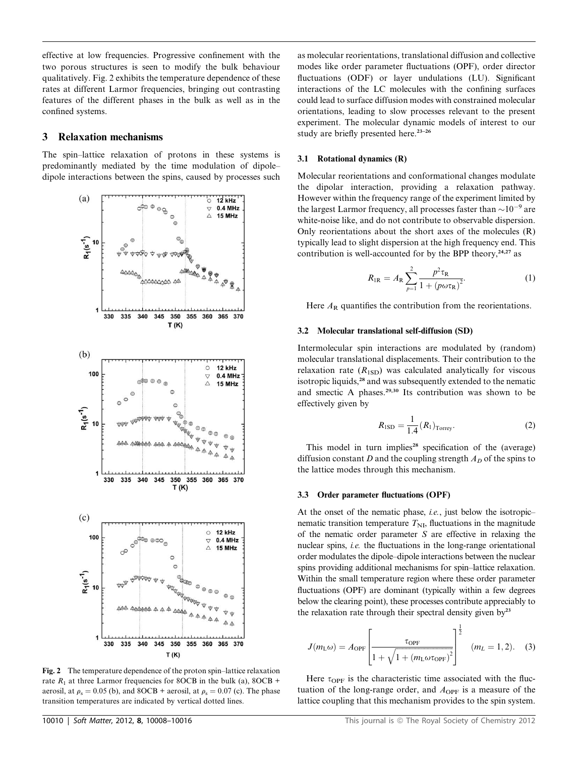effective at low frequencies. Progressive confinement with the two porous structures is seen to modify the bulk behaviour qualitatively. Fig. 2 exhibits the temperature dependence of these rates at different Larmor frequencies, bringing out contrasting features of the different phases in the bulk as well as in the confined systems.

# 3 Relaxation mechanisms

The spin–lattice relaxation of protons in these systems is predominantly mediated by the time modulation of dipole– dipole interactions between the spins, caused by processes such



Fig. 2 The temperature dependence of the proton spin–lattice relaxation rate  $R_1$  at three Larmor frequencies for 8OCB in the bulk (a), 8OCB + aerosil, at  $\rho_s = 0.05$  (b), and 8OCB + aerosil, at  $\rho_s = 0.07$  (c). The phase transition temperatures are indicated by vertical dotted lines.

as molecular reorientations, translational diffusion and collective modes like order parameter fluctuations (OPF), order director fluctuations (ODF) or layer undulations (LU). Significant interactions of the LC molecules with the confining surfaces could lead to surface diffusion modes with constrained molecular orientations, leading to slow processes relevant to the present experiment. The molecular dynamic models of interest to our study are briefly presented here. $23-26$ 

# 3.1 Rotational dynamics (R)

Molecular reorientations and conformational changes modulate the dipolar interaction, providing a relaxation pathway. However within the frequency range of the experiment limited by the largest Larmor frequency, all processes faster than  $\sim 10^{-9}$  are white-noise like, and do not contribute to observable dispersion. Only reorientations about the short axes of the molecules (R) typically lead to slight dispersion at the high frequency end. This contribution is well-accounted for by the BPP theory, $24.27$  as

$$
R_{\rm IR} = A_{\rm R} \sum_{p=1}^{2} \frac{p^2 \tau_{\rm R}}{1 + (p \omega \tau_{\rm R})^2}.
$$
 (1)

Here  $A_R$  quantifies the contribution from the reorientations.

# 3.2 Molecular translational self-diffusion (SD)

Intermolecular spin interactions are modulated by (random) molecular translational displacements. Their contribution to the relaxation rate  $(R_{1SD})$  was calculated analytically for viscous isotropic liquids,<sup>28</sup> and was subsequently extended to the nematic and smectic A phases.29,30 Its contribution was shown to be effectively given by

$$
R_{\text{ISD}} = \frac{1}{1.4} (R_1)_{\text{Torrey}}.
$$
 (2)

This model in turn implies<sup>28</sup> specification of the (average) diffusion constant D and the coupling strength  $A_D$  of the spins to the lattice modes through this mechanism.

#### 3.3 Order parameter fluctuations (OPF)

At the onset of the nematic phase, *i.e.*, just below the isotropic– nematic transition temperature  $T_{\text{NL}}$ , fluctuations in the magnitude of the nematic order parameter  $S$  are effective in relaxing the nuclear spins, *i.e.* the fluctuations in the long-range orientational order modulates the dipole–dipole interactions between the nuclear spins providing additional mechanisms for spin–lattice relaxation. Within the small temperature region where these order parameter fluctuations (OPF) are dominant (typically within a few degrees below the clearing point), these processes contribute appreciably to the relaxation rate through their spectral density given  $by<sup>23</sup>$ 

$$
J(m_{\rm L}\omega) = A_{\rm OPF} \left[ \frac{\tau_{\rm OPF}}{1 + \sqrt{1 + (m_{\rm L}\omega \tau_{\rm OPF})^2}} \right]^{\frac{1}{2}} \quad (m_L = 1, 2). \quad (3)
$$

Here  $\tau_{\text{OPF}}$  is the characteristic time associated with the fluctuation of the long-range order, and  $A_{\text{OFF}}$  is a measure of the lattice coupling that this mechanism provides to the spin system.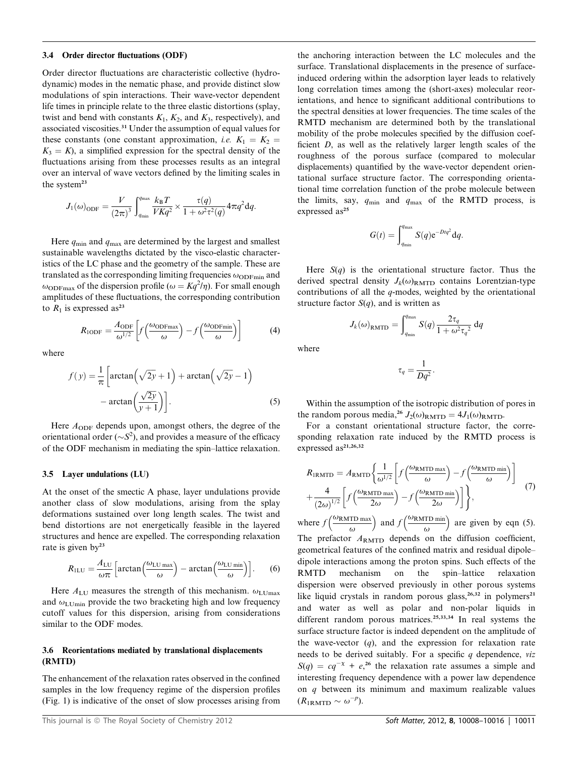#### 3.4 Order director fluctuations (ODF)

Order director fluctuations are characteristic collective (hydrodynamic) modes in the nematic phase, and provide distinct slow modulations of spin interactions. Their wave-vector dependent life times in principle relate to the three elastic distortions (splay, twist and bend with constants  $K_1$ ,  $K_2$ , and  $K_3$ , respectively), and associated viscosities.<sup>31</sup> Under the assumption of equal values for these constants (one constant approximation, *i.e.*  $K_1 = K_2$  $K_3 = K$ ), a simplified expression for the spectral density of the fluctuations arising from these processes results as an integral over an interval of wave vectors defined by the limiting scales in the system<sup>23</sup>

$$
J_1(\omega)_{\text{ODF}} = \frac{V}{(2\pi)^3} \int_{q_{\text{min}}}^{q_{\text{max}}} \frac{k_{\text{B}}T}{VKq^2} \times \frac{\tau(q)}{1 + \omega^2 \tau^2(q)} 4\pi q^2 dq.
$$

Here  $q_{\text{min}}$  and  $q_{\text{max}}$  are determined by the largest and smallest sustainable wavelengths dictated by the visco-elastic characteristics of the LC phase and the geometry of the sample. These are translated as the corresponding limiting frequencies  $\omega_{\text{ODFmin}}$  and  $\omega_{\text{ODFmax}}$  of the dispersion profile ( $\omega = Kq^2/\eta$ ). For small enough amplitudes of these fluctuations, the corresponding contribution to  $R_1$  is expressed as<sup>23</sup>

$$
R_{\text{1ODF}} = \frac{A_{\text{ODF}}}{\omega^{1/2}} \left[ f \left( \frac{\omega_{\text{ODFmax}}}{\omega} \right) - f \left( \frac{\omega_{\text{ODFmin}}}{\omega} \right) \right]
$$
(4)

where

$$
f(y) = \frac{1}{\pi} \left[ \arctan\left(\sqrt{2y} + 1\right) + \arctan\left(\sqrt{2y} - 1\right) - \arctan\left(\frac{\sqrt{2y}}{y+1}\right) \right].
$$
 (5)

Here  $A_{ODF}$  depends upon, amongst others, the degree of the orientational order ( $\sim S^2$ ), and provides a measure of the efficacy of the ODF mechanism in mediating the spin–lattice relaxation.

### 3.5 Layer undulations (LU)

At the onset of the smectic A phase, layer undulations provide another class of slow modulations, arising from the splay deformations sustained over long length scales. The twist and bend distortions are not energetically feasible in the layered structures and hence are expelled. The corresponding relaxation rate is given by<sup>23</sup>

$$
R_{\text{ILU}} = \frac{A_{\text{LU}}}{\omega \pi} \left[ \arctan \left( \frac{\omega_{\text{LU max}}}{\omega} \right) - \arctan \left( \frac{\omega_{\text{LU min}}}{\omega} \right) \right]. \tag{6}
$$

Here  $A_{\text{LU}}$  measures the strength of this mechanism.  $\omega_{\text{LUMax}}$ and  $\omega_{\text{LUmin}}$  provide the two bracketing high and low frequency cutoff values for this dispersion, arising from considerations similar to the ODF modes.

# 3.6 Reorientations mediated by translational displacements (RMTD)

The enhancement of the relaxation rates observed in the confined samples in the low frequency regime of the dispersion profiles (Fig. 1) is indicative of the onset of slow processes arising from

the anchoring interaction between the LC molecules and the surface. Translational displacements in the presence of surfaceinduced ordering within the adsorption layer leads to relatively long correlation times among the (short-axes) molecular reorientations, and hence to significant additional contributions to the spectral densities at lower frequencies. The time scales of the RMTD mechanism are determined both by the translational mobility of the probe molecules specified by the diffusion coefficient D, as well as the relatively larger length scales of the roughness of the porous surface (compared to molecular displacements) quantified by the wave-vector dependent orientational surface structure factor. The corresponding orientational time correlation function of the probe molecule between the limits, say,  $q_{\min}$  and  $q_{\max}$  of the RMTD process, is expressed as<sup>25</sup>

$$
G(t) = \int_{q_{\min}}^{q_{\max}} S(q) e^{-Dtq^2} dq.
$$

Here  $S(q)$  is the orientational structure factor. Thus the derived spectral density  $J_k(\omega)_{\text{RMTD}}$  contains Lorentzian-type contributions of all the q-modes, weighted by the orientational structure factor  $S(q)$ , and is written as

$$
J_k(\omega)_{\text{RMTD}} = \int_{q_{\text{min}}}^{q_{\text{max}}} S(q) \frac{2\tau_q}{1 + \omega^2 \tau_q^2} dq
$$

where

$$
\tau_q = \frac{1}{Dq^2}.
$$

Within the assumption of the isotropic distribution of pores in the random porous media,<sup>26</sup>  $J_2(\omega)_{\text{RMTD}} = 4J_1(\omega)_{\text{RMTD}}$ .

For a constant orientational structure factor, the corresponding relaxation rate induced by the RMTD process is expressed as<sup>21,26,32</sup>

$$
R_{\text{IRMTD}} = A_{\text{RMTD}} \left\{ \frac{1}{\omega^{1/2}} \left[ f \left( \frac{\omega_{\text{RMTD max}}}{\omega} \right) - f \left( \frac{\omega_{\text{RMTD min}}}{\omega} \right) \right] + \frac{4}{(2\omega)^{1/2}} \left[ f \left( \frac{\omega_{\text{RMTD max}}}{2\omega} \right) - f \left( \frac{\omega_{\text{RMTD min}}}{2\omega} \right) \right] \right\}, \tag{7}
$$

where  $f\left(\frac{\omega_{\rm RMTD \; max}}{n}\right)$  $\omega$ ) and  $f\left(\frac{\omega_{\rm RMTD \, min}}{n}\right)$  $\omega$  $\big)$  are given by eqn (5). The prefactor  $A_{\text{RMTD}}$  depends on the diffusion coefficient, geometrical features of the confined matrix and residual dipole– dipole interactions among the proton spins. Such effects of the RMTD mechanism on the spin–lattice relaxation dispersion were observed previously in other porous systems like liquid crystals in random porous glass,<sup>26,32</sup> in polymers<sup>21</sup> and water as well as polar and non-polar liquids in different random porous matrices.25,33,34 In real systems the surface structure factor is indeed dependent on the amplitude of the wave-vector  $(q)$ , and the expression for relaxation rate needs to be derived suitably. For a specific  $q$  dependence, viz  $S(q) = cq^{-\chi} + e^{26}$  the relaxation rate assumes a simple and interesting frequency dependence with a power law dependence on q between its minimum and maximum realizable values  $(R_{\rm 1RMTD} \sim \omega^{-p}).$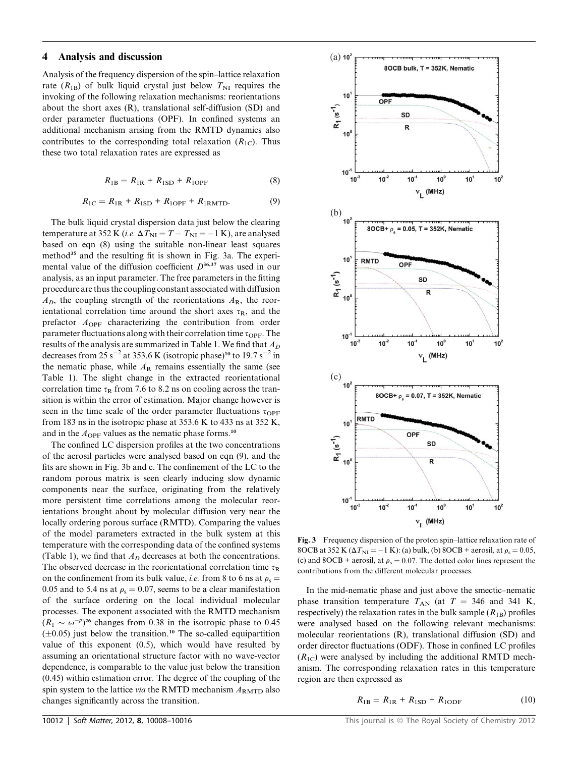# 4 Analysis and discussion

Analysis of the frequency dispersion of the spin–lattice relaxation rate  $(R_{1B})$  of bulk liquid crystal just below  $T_{NI}$  requires the invoking of the following relaxation mechanisms: reorientations about the short axes (R), translational self-diffusion (SD) and order parameter fluctuations (OPF). In confined systems an additional mechanism arising from the RMTD dynamics also contributes to the corresponding total relaxation  $(R_{1C})$ . Thus these two total relaxation rates are expressed as

$$
R_{1B} = R_{1R} + R_{1SD} + R_{1OPF}
$$
 (8)

$$
R_{1C} = R_{1R} + R_{1SD} + R_{1OPF} + R_{1RMTD}.
$$
 (9)

The bulk liquid crystal dispersion data just below the clearing temperature at 352 K (*i.e.*  $\Delta T_{\text{NI}} = T - T_{\text{NI}} = -1$  K), are analysed based on eqn (8) using the suitable non-linear least squares method<sup>35</sup> and the resulting fit is shown in Fig. 3a. The experimental value of the diffusion coefficient  $D^{36,37}$  was used in our analysis, as an input parameter. The free parameters in the fitting procedure are thus the coupling constant associated with diffusion  $A<sub>D</sub>$ , the coupling strength of the reorientations  $A<sub>R</sub>$ , the reorientational correlation time around the short axes  $\tau_R$ , and the prefactor  $A_{\text{OPF}}$  characterizing the contribution from order parameter fluctuations along with their correlation time  $\tau_{\text{OPF}}$ . The results of the analysis are summarized in Table 1. We find that  $A_D$ decreases from 25 s<sup>-2</sup> at 353.6 K (isotropic phase)<sup>10</sup> to 19.7 s<sup>-2</sup> in the nematic phase, while  $A_R$  remains essentially the same (see Table 1). The slight change in the extracted reorientational correlation time  $\tau_R$  from 7.6 to 8.2 ns on cooling across the transition is within the error of estimation. Major change however is seen in the time scale of the order parameter fluctuations  $\tau_{\text{OPF}}$ from 183 ns in the isotropic phase at 353.6 K to 433 ns at 352 K, and in the  $A_{\text{OPF}}$  values as the nematic phase forms.<sup>10</sup>

The confined LC dispersion profiles at the two concentrations of the aerosil particles were analysed based on eqn (9), and the fits are shown in Fig. 3b and c. The confinement of the LC to the random porous matrix is seen clearly inducing slow dynamic components near the surface, originating from the relatively more persistent time correlations among the molecular reorientations brought about by molecular diffusion very near the locally ordering porous surface (RMTD). Comparing the values of the model parameters extracted in the bulk system at this temperature with the corresponding data of the confined systems (Table 1), we find that  $A_D$  decreases at both the concentrations. The observed decrease in the reorientational correlation time  $\tau_R$ on the confinement from its bulk value, *i.e.* from 8 to 6 ns at  $\rho_s =$ 0.05 and to 5.4 ns at  $\rho_s = 0.07$ , seems to be a clear manifestation of the surface ordering on the local individual molecular processes. The exponent associated with the RMTD mechanism  $(R_1 \sim \omega^{-p})^{26}$  changes from 0.38 in the isotropic phase to 0.45  $(\pm 0.05)$  just below the transition.<sup>10</sup> The so-called equipartition value of this exponent (0.5), which would have resulted by assuming an orientational structure factor with no wave-vector dependence, is comparable to the value just below the transition (0.45) within estimation error. The degree of the coupling of the spin system to the lattice via the RMTD mechanism  $A_{\text{RMTD}}$  also changes significantly across the transition.



Fig. 3 Frequency dispersion of the proton spin–lattice relaxation rate of 8OCB at 352 K ( $\Delta T_{\text{NI}} = -1$  K): (a) bulk, (b) 8OCB + aerosil, at  $\rho_s = 0.05$ , (c) and 8OCB + aerosil, at  $\rho_s = 0.07$ . The dotted color lines represent the contributions from the different molecular processes.

In the mid-nematic phase and just above the smectic–nematic phase transition temperature  $T_{AN}$  (at  $T = 346$  and 341 K, respectively) the relaxation rates in the bulk sample  $(R_{1B})$  profiles were analysed based on the following relevant mechanisms: molecular reorientations (R), translational diffusion (SD) and order director fluctuations (ODF). Those in confined LC profiles  $(R_{1C})$  were analysed by including the additional RMTD mechanism. The corresponding relaxation rates in this temperature region are then expressed as

$$
R_{1B} = R_{1R} + R_{1SD} + R_{1ODF}
$$
 (10)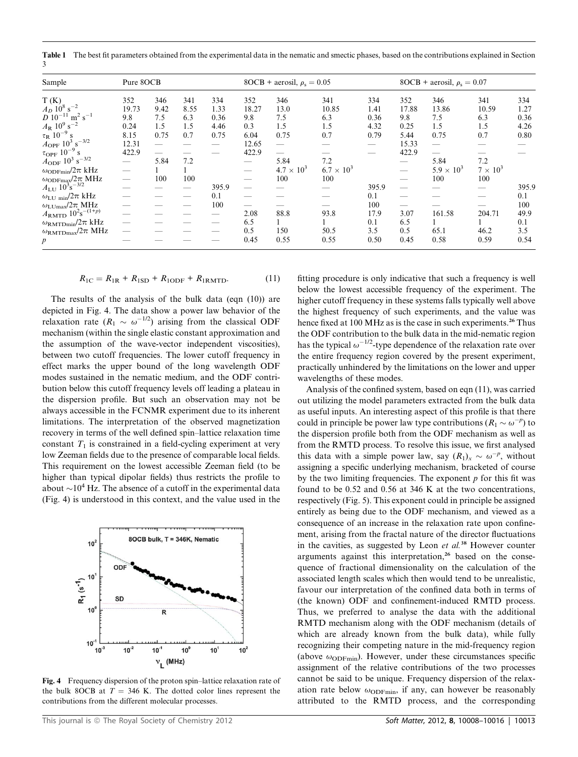Table 1 The best fit parameters obtained from the experimental data in the nematic and smectic phases, based on the contributions explained in Section 3

| Sample                                          | Pure 8OCB |      |      |       | 8OCB + aerosil, $\rho_s = 0.05$ |                     |                     |       | 8OCB + aerosil, $\rho_s = 0.07$ |                     |                 |       |
|-------------------------------------------------|-----------|------|------|-------|---------------------------------|---------------------|---------------------|-------|---------------------------------|---------------------|-----------------|-------|
| T(K)                                            | 352       | 346  | 341  | 334   | 352                             | 346                 | 341                 | 334   | 352                             | 346                 | 341             | 334   |
| $A_D$ 10 <sup>8</sup> s <sup>-2</sup>           | 19.73     | 9.42 | 8.55 | 1.33  | 18.27                           | 13.0                | 10.85               | 1.41  | 17.88                           | 13.86               | 10.59           | 1.27  |
| $D 10^{-11}$<br>$m^2$ s <sup>-1</sup>           | 9.8       | 7.5  | 6.3  | 0.36  | 9.8                             | 7.5                 | 6.3                 | 0.36  | 9.8                             | 7.5                 | 6.3             | 0.36  |
| $A_{\rm R}$ 10 <sup>9</sup> s <sup>-2</sup>     | 0.24      | 1.5  | 1.5  | 4.46  | 0.3                             | 1.5                 | 1.5                 | 4.32  | 0.25                            | 1.5                 | 1.5             | 4.26  |
| $\tau_R$ 10 <sup>-9</sup> .                     | 8.15      | 0.75 | 0.7  | 0.75  | 6.04                            | 0.75                | 0.7                 | 0.79  | 5.44                            | 0.75                | 0.7             | 0.80  |
| $A_{\rm{OPF}}$ $10^3$ $\rm{s}^{-3/2}$           | 12.31     |      |      |       | 12.65                           |                     |                     |       | 15.33                           |                     |                 |       |
| $\tau_{\rm OPF}$ 10 <sup>-9</sup>               | 422.9     |      |      |       | 422.9                           |                     |                     |       | 422.9                           |                     |                 |       |
| $A_{\rm ODF}$ 10 <sup>3</sup> s <sup>-3/2</sup> |           | 5.84 | 7.2  |       |                                 | 5.84                | 7.2                 |       |                                 | 5.84                | 7.2             |       |
| $\omega_{\rm ODFmin}/2\pi$ kHz                  | -         |      |      |       |                                 | $4.7 \times 10^{3}$ | $6.7 \times 10^{3}$ |       |                                 | $5.9 \times 10^{3}$ | $7 \times 10^3$ |       |
| $\omega_{\rm ODFmag}/2\pi$ MHz                  |           | 100  | 100  |       |                                 | 100                 | 100                 |       |                                 | 100                 | 100             |       |
| $A_{\text{LU}} 10^{3} \text{s}^{-3/2}$          |           |      |      | 395.9 |                                 |                     |                     | 395.9 |                                 |                     |                 | 395.9 |
| $\omega_{\mathrm{LU~min}}/2\pi$ kHz             |           |      |      | 0.1   |                                 |                     |                     | 0.1   |                                 |                     |                 | 0.1   |
| $\omega_{\text{LUmax}}/2\pi$ MHz                |           |      |      | 100   |                                 |                     |                     | 100   |                                 |                     |                 | 100   |
| $A_{\rm RMTD} 10^{2} s^{-(1+p)}$                |           |      |      |       | 2.08                            | 88.8                | 93.8                | 17.9  | 3.07                            | 161.58              | 204.71          | 49.9  |
| $\omega_{\rm RMTDmin}/2\pi$ kHz                 |           |      |      |       | 6.5                             |                     |                     | 0.1   | 6.5                             |                     |                 | 0.1   |
| $\omega_{\rm RMTDmax}/2\pi$ MHz                 |           |      |      |       | 0.5                             | 150                 | 50.5                | 3.5   | 0.5                             | 65.1                | 46.2            | 3.5   |
| $\boldsymbol{p}$                                |           |      |      |       | 0.45                            | 0.55                | 0.55                | 0.50  | 0.45                            | 0.58                | 0.59            | 0.54  |

$$
R_{1C} = R_{1R} + R_{1SD} + R_{1ODF} + R_{1RMTD}.
$$
 (11)

The results of the analysis of the bulk data (eqn (10)) are depicted in Fig. 4. The data show a power law behavior of the relaxation rate  $(R_1 \sim \omega^{-1/2})$  arising from the classical ODF mechanism (within the single elastic constant approximation and the assumption of the wave-vector independent viscosities), between two cutoff frequencies. The lower cutoff frequency in effect marks the upper bound of the long wavelength ODF modes sustained in the nematic medium, and the ODF contribution below this cutoff frequency levels off leading a plateau in the dispersion profile. But such an observation may not be always accessible in the FCNMR experiment due to its inherent limitations. The interpretation of the observed magnetization recovery in terms of the well defined spin–lattice relaxation time constant  $T_1$  is constrained in a field-cycling experiment at very low Zeeman fields due to the presence of comparable local fields. This requirement on the lowest accessible Zeeman field (to be higher than typical dipolar fields) thus restricts the profile to about  $\sim 10^4$  Hz. The absence of a cutoff in the experimental data (Fig. 4) is understood in this context, and the value used in the



Fig. 4 Frequency dispersion of the proton spin–lattice relaxation rate of the bulk 8OCB at  $T = 346$  K. The dotted color lines represent the contributions from the different molecular processes.

fitting procedure is only indicative that such a frequency is well below the lowest accessible frequency of the experiment. The higher cutoff frequency in these systems falls typically well above the highest frequency of such experiments, and the value was hence fixed at 100 MHz as is the case in such experiments.<sup>26</sup> Thus the ODF contribution to the bulk data in the mid-nematic region has the typical  $\omega^{-1/2}$ -type dependence of the relaxation rate over the entire frequency region covered by the present experiment, practically unhindered by the limitations on the lower and upper wavelengths of these modes.

Analysis of the confined system, based on eqn (11), was carried out utilizing the model parameters extracted from the bulk data as useful inputs. An interesting aspect of this profile is that there could in principle be power law type contributions ( $R_1 \sim \omega^{-p}$ ) to the dispersion profile both from the ODF mechanism as well as from the RMTD process. To resolve this issue, we first analysed this data with a simple power law, say  $(R_1)_x \sim \omega^{-p}$ , without assigning a specific underlying mechanism, bracketed of course by the two limiting frequencies. The exponent  $p$  for this fit was found to be 0.52 and 0.56 at 346 K at the two concentrations, respectively (Fig. 5). This exponent could in principle be assigned entirely as being due to the ODF mechanism, and viewed as a consequence of an increase in the relaxation rate upon confinement, arising from the fractal nature of the director fluctuations in the cavities, as suggested by Leon et al.<sup>38</sup> However counter arguments against this interpretation, $26$  based on the consequence of fractional dimensionality on the calculation of the associated length scales which then would tend to be unrealistic, favour our interpretation of the confined data both in terms of (the known) ODF and confinement-induced RMTD process. Thus, we preferred to analyse the data with the additional RMTD mechanism along with the ODF mechanism (details of which are already known from the bulk data), while fully recognizing their competing nature in the mid-frequency region (above  $\omega_{ODFmin}$ ). However, under these circumstances specific assignment of the relative contributions of the two processes cannot be said to be unique. Frequency dispersion of the relaxation rate below  $\omega_{ODFmin}$ , if any, can however be reasonably attributed to the RMTD process, and the corresponding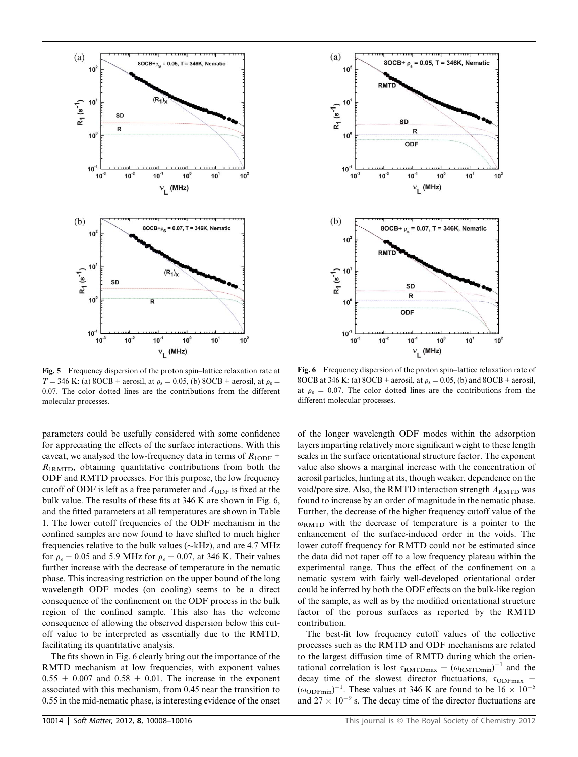

Fig. 5 Frequency dispersion of the proton spin–lattice relaxation rate at  $T = 346$  K: (a) 8OCB + aerosil, at  $\rho_s = 0.05$ , (b) 8OCB + aerosil, at  $\rho_s =$ 0.07. The color dotted lines are the contributions from the different molecular processes.

parameters could be usefully considered with some confidence for appreciating the effects of the surface interactions. With this caveat, we analysed the low-frequency data in terms of  $R_{1ODF}$  +  $R_{1RMTD}$ , obtaining quantitative contributions from both the ODF and RMTD processes. For this purpose, the low frequency cutoff of ODF is left as a free parameter and  $A_{ODF}$  is fixed at the bulk value. The results of these fits at 346 K are shown in Fig. 6, and the fitted parameters at all temperatures are shown in Table 1. The lower cutoff frequencies of the ODF mechanism in the confined samples are now found to have shifted to much higher frequencies relative to the bulk values ( $\sim$ kHz), and are 4.7 MHz for  $\rho_s = 0.05$  and 5.9 MHz for  $\rho_s = 0.07$ , at 346 K. Their values further increase with the decrease of temperature in the nematic phase. This increasing restriction on the upper bound of the long wavelength ODF modes (on cooling) seems to be a direct consequence of the confinement on the ODF process in the bulk region of the confined sample. This also has the welcome consequence of allowing the observed dispersion below this cutoff value to be interpreted as essentially due to the RMTD, facilitating its quantitative analysis.

The fits shown in Fig. 6 clearly bring out the importance of the RMTD mechanism at low frequencies, with exponent values  $0.55 \pm 0.007$  and  $0.58 \pm 0.01$ . The increase in the exponent associated with this mechanism, from 0.45 near the transition to 0.55 in the mid-nematic phase, is interesting evidence of the onset



Fig. 6 Frequency dispersion of the proton spin–lattice relaxation rate of 8OCB at 346 K: (a) 8OCB + aerosil, at  $\rho_s = 0.05$ , (b) and 8OCB + aerosil, at  $\rho_s = 0.07$ . The color dotted lines are the contributions from the different molecular processes.

of the longer wavelength ODF modes within the adsorption layers imparting relatively more significant weight to these length scales in the surface orientational structure factor. The exponent value also shows a marginal increase with the concentration of aerosil particles, hinting at its, though weaker, dependence on the void/pore size. Also, the RMTD interaction strength  $A_{\text{RMTD}}$  was found to increase by an order of magnitude in the nematic phase. Further, the decrease of the higher frequency cutoff value of the  $\omega_{\rm RMTD}$  with the decrease of temperature is a pointer to the enhancement of the surface-induced order in the voids. The lower cutoff frequency for RMTD could not be estimated since the data did not taper off to a low frequency plateau within the experimental range. Thus the effect of the confinement on a nematic system with fairly well-developed orientational order could be inferred by both the ODF effects on the bulk-like region of the sample, as well as by the modified orientational structure factor of the porous surfaces as reported by the RMTD contribution.

The best-fit low frequency cutoff values of the collective processes such as the RMTD and ODF mechanisms are related to the largest diffusion time of RMTD during which the orientational correlation is lost  $\tau_{\text{RMTDmax}} = (\omega_{\text{RMTDmin}})^{-1}$  and the decay time of the slowest director fluctuations,  $\tau_{ODFmax}$  =  $(\omega_{\text{ODFmin}})^{-1}$ . These values at 346 K are found to be  $16 \times 10^{-5}$ and  $27 \times 10^{-9}$  s. The decay time of the director fluctuations are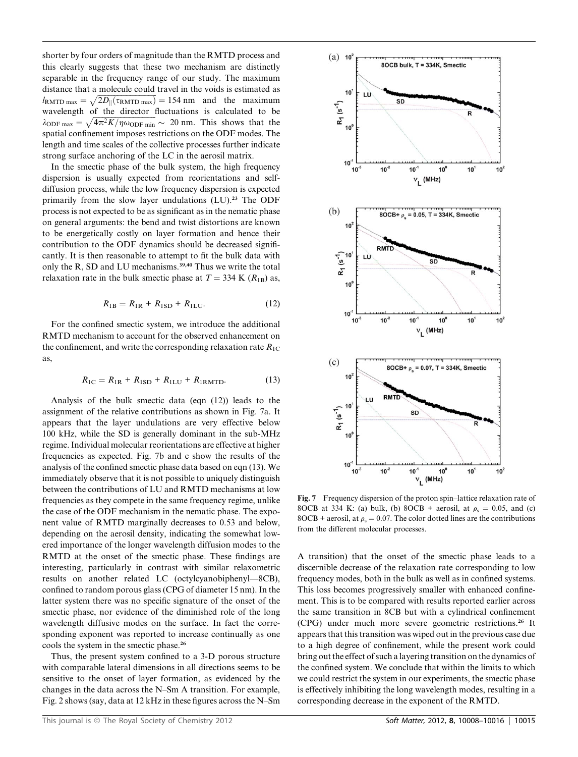shorter by four orders of magnitude than the RMTD process and this clearly suggests that these two mechanism are distinctly separable in the frequency range of our study. The maximum distance that a molecule could travel in the voids is estimated as  $l_{\text{RMTD max}} = \sqrt{2D_{\parallel}(\tau_{\text{RMTD max}})} = 154 \text{ nm}$  and the maximum wavelength of the director fluctuations is calculated to be  $\lambda_{\text{ODE max}} = \sqrt{4\pi^2 K/\eta \omega_{\text{ODE min}}} \sim 20 \text{ nm}.$  This shows that the spatial confinement imposes restrictions on the ODF modes. The length and time scales of the collective processes further indicate strong surface anchoring of the LC in the aerosil matrix.

In the smectic phase of the bulk system, the high frequency dispersion is usually expected from reorientations and selfdiffusion process, while the low frequency dispersion is expected primarily from the slow layer undulations  $(LU)$ .<sup>23</sup> The ODF process is not expected to be as significant as in the nematic phase on general arguments: the bend and twist distortions are known to be energetically costly on layer formation and hence their contribution to the ODF dynamics should be decreased significantly. It is then reasonable to attempt to fit the bulk data with only the R, SD and LU mechanisms.<sup>39,40</sup> Thus we write the total relaxation rate in the bulk smectic phase at  $T = 334$  K ( $R_{1B}$ ) as,

$$
R_{1B} = R_{1R} + R_{1SD} + R_{1LU}.
$$
 (12)

For the confined smectic system, we introduce the additional RMTD mechanism to account for the observed enhancement on the confinement, and write the corresponding relaxation rate  $R_{1C}$ as,

$$
R_{\rm IC} = R_{\rm IR} + R_{\rm ISD} + R_{\rm ILU} + R_{\rm IRMTD}.\tag{13}
$$

Analysis of the bulk smectic data (eqn (12)) leads to the assignment of the relative contributions as shown in Fig. 7a. It appears that the layer undulations are very effective below 100 kHz, while the SD is generally dominant in the sub-MHz regime. Individual molecular reorientations are effective at higher frequencies as expected. Fig. 7b and c show the results of the analysis of the confined smectic phase data based on eqn (13). We immediately observe that it is not possible to uniquely distinguish between the contributions of LU and RMTD mechanisms at low frequencies as they compete in the same frequency regime, unlike the case of the ODF mechanism in the nematic phase. The exponent value of RMTD marginally decreases to 0.53 and below, depending on the aerosil density, indicating the somewhat lowered importance of the longer wavelength diffusion modes to the RMTD at the onset of the smectic phase. These findings are interesting, particularly in contrast with similar relaxometric results on another related LC (octylcyanobiphenyl—8CB), confined to random porous glass (CPG of diameter 15 nm). In the latter system there was no specific signature of the onset of the smectic phase, nor evidence of the diminished role of the long wavelength diffusive modes on the surface. In fact the corresponding exponent was reported to increase continually as one cools the system in the smectic phase.<sup>26</sup>

Thus, the present system confined to a 3-D porous structure with comparable lateral dimensions in all directions seems to be sensitive to the onset of layer formation, as evidenced by the changes in the data across the N–Sm A transition. For example, Fig. 2 shows (say, data at 12 kHz in these figures across the N–Sm



Fig. 7 Frequency dispersion of the proton spin–lattice relaxation rate of 8OCB at 334 K: (a) bulk, (b) 8OCB + aerosil, at  $\rho_s = 0.05$ , and (c) 8OCB + aerosil, at  $\rho_s = 0.07$ . The color dotted lines are the contributions from the different molecular processes.

A transition) that the onset of the smectic phase leads to a discernible decrease of the relaxation rate corresponding to low frequency modes, both in the bulk as well as in confined systems. This loss becomes progressively smaller with enhanced confinement. This is to be compared with results reported earlier across the same transition in 8CB but with a cylindrical confinement (CPG) under much more severe geometric restrictions.<sup>26</sup> It appears that this transition was wiped out in the previous case due to a high degree of confinement, while the present work could bring out the effect of such a layering transition on the dynamics of the confined system. We conclude that within the limits to which we could restrict the system in our experiments, the smectic phase is effectively inhibiting the long wavelength modes, resulting in a corresponding decrease in the exponent of the RMTD.